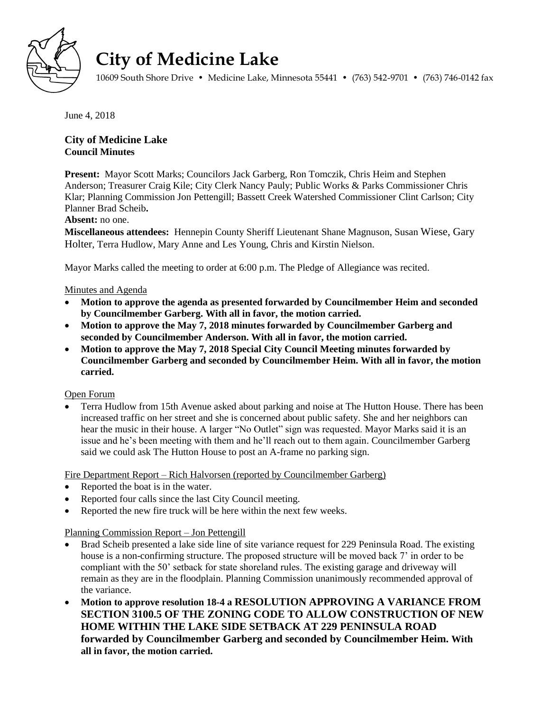

# **City of Medicine Lake**

10609 South Shore Drive • Medicine Lake, Minnesota 55441 • (763) 542-9701 • (763) 746-0142 fax

June 4, 2018

## **City of Medicine Lake Council Minutes**

**Present:** Mayor Scott Marks; Councilors Jack Garberg, Ron Tomczik, Chris Heim and Stephen Anderson; Treasurer Craig Kile; City Clerk Nancy Pauly; Public Works & Parks Commissioner Chris Klar; Planning Commission Jon Pettengill; Bassett Creek Watershed Commissioner Clint Carlson; City Planner Brad Scheib**.**

## **Absent:** no one.

**Miscellaneous attendees:** Hennepin County Sheriff Lieutenant Shane Magnuson, Susan Wiese, Gary Holter, Terra Hudlow, Mary Anne and Les Young, Chris and Kirstin Nielson.

Mayor Marks called the meeting to order at 6:00 p.m. The Pledge of Allegiance was recited.

## Minutes and Agenda

- **Motion to approve the agenda as presented forwarded by Councilmember Heim and seconded by Councilmember Garberg. With all in favor, the motion carried.**
- **Motion to approve the May 7, 2018 minutes forwarded by Councilmember Garberg and seconded by Councilmember Anderson. With all in favor, the motion carried.**
- **Motion to approve the May 7, 2018 Special City Council Meeting minutes forwarded by Councilmember Garberg and seconded by Councilmember Heim. With all in favor, the motion carried.**

Open Forum

 Terra Hudlow from 15th Avenue asked about parking and noise at The Hutton House. There has been increased traffic on her street and she is concerned about public safety. She and her neighbors can hear the music in their house. A larger "No Outlet" sign was requested. Mayor Marks said it is an issue and he's been meeting with them and he'll reach out to them again. Councilmember Garberg said we could ask The Hutton House to post an A-frame no parking sign.

Fire Department Report – Rich Halvorsen (reported by Councilmember Garberg)

- Reported the boat is in the water.
- Reported four calls since the last City Council meeting.
- Reported the new fire truck will be here within the next few weeks.

Planning Commission Report – Jon Pettengill

- Brad Scheib presented a lake side line of site variance request for 229 Peninsula Road. The existing house is a non-confirming structure. The proposed structure will be moved back 7' in order to be compliant with the 50' setback for state shoreland rules. The existing garage and driveway will remain as they are in the floodplain. Planning Commission unanimously recommended approval of the variance.
- **Motion to approve resolution 18-4 a RESOLUTION APPROVING A VARIANCE FROM SECTION 3100.5 OF THE ZONING CODE TO ALLOW CONSTRUCTION OF NEW HOME WITHIN THE LAKE SIDE SETBACK AT 229 PENINSULA ROAD forwarded by Councilmember Garberg and seconded by Councilmember Heim. With all in favor, the motion carried.**